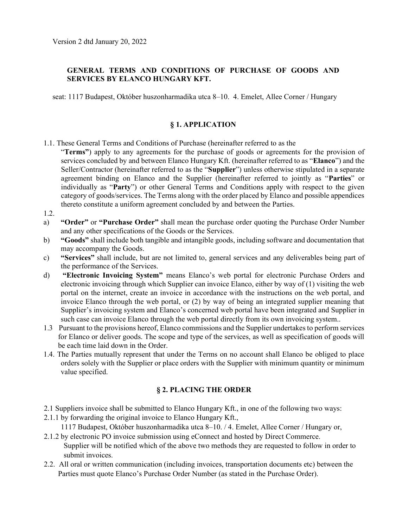# GENERAL TERMS AND CONDITIONS OF PURCHASE OF GOODS AND SERVICES BY ELANCO HUNGARY KFT.

seat: 1117 Budapest, Október huszonharmadika utca 8–10. 4. Emelet, Allee Corner / Hungary

# § 1. APPLICATION

- 1.1. These General Terms and Conditions of Purchase (hereinafter referred to as the
- "Terms") apply to any agreements for the purchase of goods or agreements for the provision of services concluded by and between Elanco Hungary Kft. (hereinafter referred to as "Elanco") and the Seller/Contractor (hereinafter referred to as the "Supplier") unless otherwise stipulated in a separate agreement binding on Elanco and the Supplier (hereinafter referred to jointly as "Parties" or individually as "Party") or other General Terms and Conditions apply with respect to the given category of goods/services. The Terms along with the order placed by Elanco and possible appendices thereto constitute a uniform agreement concluded by and between the Parties.
- 1.2.
- a) "Order" or "Purchase Order" shall mean the purchase order quoting the Purchase Order Number and any other specifications of the Goods or the Services.
- b) "Goods" shall include both tangible and intangible goods, including software and documentation that may accompany the Goods.
- c) "Services" shall include, but are not limited to, general services and any deliverables being part of the performance of the Services.
- d) "Electronic Invoicing System" means Elanco's web portal for electronic Purchase Orders and electronic invoicing through which Supplier can invoice Elanco, either by way of (1) visiting the web portal on the internet, create an invoice in accordance with the instructions on the web portal, and invoice Elanco through the web portal, or (2) by way of being an integrated supplier meaning that Supplier's invoicing system and Elanco's concerned web portal have been integrated and Supplier in such case can invoice Elanco through the web portal directly from its own invoicing system..
- 1.3 Pursuant to the provisions hereof, Elanco commissions and the Supplier undertakes to perform services for Elanco or deliver goods. The scope and type of the services, as well as specification of goods will be each time laid down in the Order.
- 1.4. The Parties mutually represent that under the Terms on no account shall Elanco be obliged to place orders solely with the Supplier or place orders with the Supplier with minimum quantity or minimum value specified.

# § 2. PLACING THE ORDER

- 2.1 Suppliers invoice shall be submitted to Elanco Hungary Kft., in one of the following two ways:
- 2.1.1 by forwarding the original invoice to Elanco Hungary Kft.,
- 1117 Budapest, Október huszonharmadika utca 8–10. / 4. Emelet, Allee Corner / Hungary or, 2.1.2 by electronic PO invoice submission using eConnect and hosted by Direct Commerce.
- Supplier will be notified which of the above two methods they are requested to follow in order to submit invoices.
- 2.2. All oral or written communication (including invoices, transportation documents etc) between the Parties must quote Elanco's Purchase Order Number (as stated in the Purchase Order).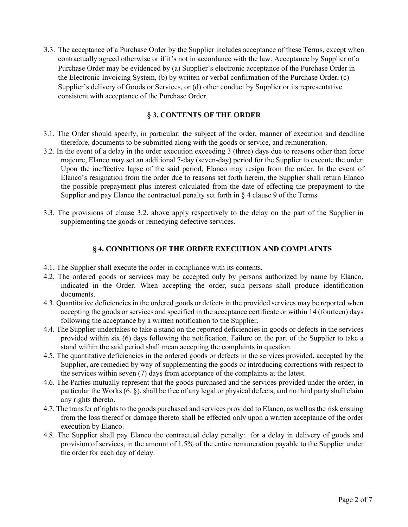3.3. The acceptance of a Purchase Order by the Supplier includes acceptance of these Terms, except when contractually agreed otherwise or if it's not in accordance with the law. Acceptance by Supplier of a Purchase Order may be evidenced by (a) Supplier's electronic acceptance of the Purchase Order in the Electronic Invoicing System, (b) by written or verbal confirmation of the Purchase Order, (c) Supplier's delivery of Goods or Services, or (d) other conduct by Supplier or its representative consistent with acceptance of the Purchase Order.

# § 3. CONTENTS OF THE ORDER

- 3.1. The Order should specify, in particular: the subject of the order, manner of execution and deadline therefore, documents to be submitted along with the goods or service, and remuneration.
- 3.2. In the event of a delay in the order execution exceeding 3 (three) days due to reasons other than force majeure, Elanco may set an additional 7-day (seven-day) period for the Supplier to execute the order. Upon the ineffective lapse of the said period, Elanco may resign from the order. In the event of Elanco's resignation from the order due to reasons set forth herein, the Supplier shall return Elanco the possible prepayment plus interest calculated from the date of effecting the prepayment to the Supplier and pay Elanco the contractual penalty set forth in  $\S 4$  clause 9 of the Terms.
- 3.3. The provisions of clause 3.2. above apply respectively to the delay on the part of the Supplier in supplementing the goods or remedying defective services.

# § 4. CONDITIONS OF THE ORDER EXECUTION AND COMPLAINTS

- 4.1. The Supplier shall execute the order in compliance with its contents.
- 4.2. The ordered goods or services may be accepted only by persons authorized by name by Elanco, indicated in the Order. When accepting the order, such persons shall produce identification documents.
- 4.3. Quantitative deficiencies in the ordered goods or defects in the provided services may be reported when accepting the goods or services and specified in the acceptance certificate or within 14 (fourteen) days following the acceptance by a written notification to the Supplier.
- 4.4. The Supplier undertakes to take a stand on the reported deficiencies in goods or defects in the services provided within six (6) days following the notification. Failure on the part of the Supplier to take a stand within the said period shall mean accepting the complaints in question.
- 4.5. The quantitative deficiencies in the ordered goods or defects in the services provided, accepted by the Supplier, are remedied by way of supplementing the goods or introducing corrections with respect to the services within seven (7) days from acceptance of the complaints at the latest.
- 4.6. The Parties mutually represent that the goods purchased and the services provided under the order, in particular the Works (6. §), shall be free of any legal or physical defects, and no third party shall claim any rights thereto.
- 4.7. The transfer of rights to the goods purchased and services provided to Elanco, as well as the risk ensuing from the loss thereof or damage thereto shall be effected only upon a written acceptance of the order execution by Elanco.
- 4.8. The Supplier shall pay Elanco the contractual delay penalty: for a delay in delivery of goods and provision of services, in the amount of 1.5% of the entire remuneration payable to the Supplier under the order for each day of delay.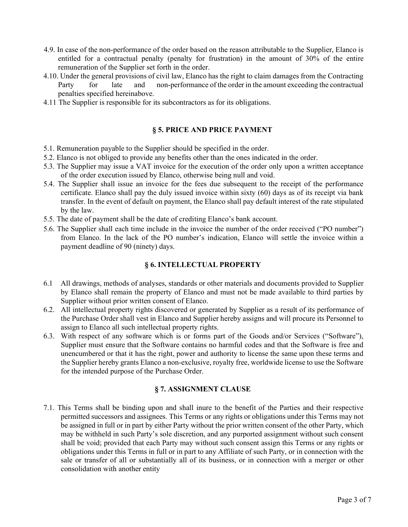- 4.9. In case of the non-performance of the order based on the reason attributable to the Supplier, Elanco is entitled for a contractual penalty (penalty for frustration) in the amount of 30% of the entire remuneration of the Supplier set forth in the order.
- 4.10. Under the general provisions of civil law, Elanco has the right to claim damages from the Contracting Party for late and non-performance of the order in the amount exceeding the contractual penalties specified hereinabove.
- 4.11 The Supplier is responsible for its subcontractors as for its obligations.

### § 5. PRICE AND PRICE PAYMENT

- 5.1. Remuneration payable to the Supplier should be specified in the order.
- 5.2. Elanco is not obliged to provide any benefits other than the ones indicated in the order.
- 5.3. The Supplier may issue a VAT invoice for the execution of the order only upon a written acceptance of the order execution issued by Elanco, otherwise being null and void.
- 5.4. The Supplier shall issue an invoice for the fees due subsequent to the receipt of the performance certificate. Elanco shall pay the duly issued invoice within sixty (60) days as of its receipt via bank transfer. In the event of default on payment, the Elanco shall pay default interest of the rate stipulated by the law.
- 5.5. The date of payment shall be the date of crediting Elanco's bank account.
- 5.6. The Supplier shall each time include in the invoice the number of the order received ("PO number") from Elanco. In the lack of the PO number's indication, Elanco will settle the invoice within a payment deadline of 90 (ninety) days.

## § 6. INTELLECTUAL PROPERTY

- 6.1 All drawings, methods of analyses, standards or other materials and documents provided to Supplier by Elanco shall remain the property of Elanco and must not be made available to third parties by Supplier without prior written consent of Elanco.
- 6.2. All intellectual property rights discovered or generated by Supplier as a result of its performance of the Purchase Order shall vest in Elanco and Supplier hereby assigns and will procure its Personnel to assign to Elanco all such intellectual property rights.
- 6.3. With respect of any software which is or forms part of the Goods and/or Services ("Software"), Supplier must ensure that the Software contains no harmful codes and that the Software is free and unencumbered or that it has the right, power and authority to license the same upon these terms and the Supplier hereby grants Elanco a non-exclusive, royalty free, worldwide license to use the Software for the intended purpose of the Purchase Order.

#### § 7. ASSIGNMENT CLAUSE

7.1. This Terms shall be binding upon and shall inure to the benefit of the Parties and their respective permitted successors and assignees. This Terms or any rights or obligations under this Terms may not be assigned in full or in part by either Party without the prior written consent of the other Party, which may be withheld in such Party's sole discretion, and any purported assignment without such consent shall be void; provided that each Party may without such consent assign this Terms or any rights or obligations under this Terms in full or in part to any Affiliate of such Party, or in connection with the sale or transfer of all or substantially all of its business, or in connection with a merger or other consolidation with another entity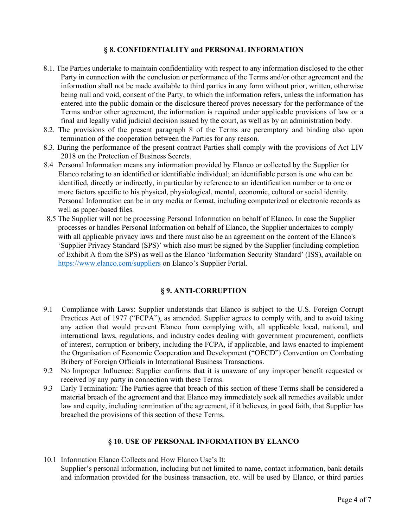# § 8. CONFIDENTIALITY and PERSONAL INFORMATION

- 8.1. The Parties undertake to maintain confidentiality with respect to any information disclosed to the other Party in connection with the conclusion or performance of the Terms and/or other agreement and the information shall not be made available to third parties in any form without prior, written, otherwise being null and void, consent of the Party, to which the information refers, unless the information has entered into the public domain or the disclosure thereof proves necessary for the performance of the Terms and/or other agreement, the information is required under applicable provisions of law or a final and legally valid judicial decision issued by the court, as well as by an administration body.
- 8.2. The provisions of the present paragraph 8 of the Terms are peremptory and binding also upon termination of the cooperation between the Parties for any reason.
- 8.3. During the performance of the present contract Parties shall comply with the provisions of Act LIV 2018 on the Protection of Business Secrets.
- 8.4 Personal Information means any information provided by Elanco or collected by the Supplier for Elanco relating to an identified or identifiable individual; an identifiable person is one who can be identified, directly or indirectly, in particular by reference to an identification number or to one or more factors specific to his physical, physiological, mental, economic, cultural or social identity. Personal Information can be in any media or format, including computerized or electronic records as well as paper-based files.
- 8.5 The Supplier will not be processing Personal Information on behalf of Elanco. In case the Supplier processes or handles Personal Information on behalf of Elanco, the Supplier undertakes to comply with all applicable privacy laws and there must also be an agreement on the content of the Elanco's 'Supplier Privacy Standard (SPS)' which also must be signed by the Supplier (including completion of Exhibit A from the SPS) as well as the Elanco 'Information Security Standard' (ISS), available on https://www.elanco.com/suppliers on Elanco's Supplier Portal.

# § 9. ANTI-CORRUPTION

- 9.1 Compliance with Laws: Supplier understands that Elanco is subject to the U.S. Foreign Corrupt Practices Act of 1977 ("FCPA"), as amended. Supplier agrees to comply with, and to avoid taking any action that would prevent Elanco from complying with, all applicable local, national, and international laws, regulations, and industry codes dealing with government procurement, conflicts of interest, corruption or bribery, including the FCPA, if applicable, and laws enacted to implement the Organisation of Economic Cooperation and Development ("OECD") Convention on Combating Bribery of Foreign Officials in International Business Transactions.
- 9.2 No Improper Influence: Supplier confirms that it is unaware of any improper benefit requested or received by any party in connection with these Terms.
- 9.3 Early Termination: The Parties agree that breach of this section of these Terms shall be considered a material breach of the agreement and that Elanco may immediately seek all remedies available under law and equity, including termination of the agreement, if it believes, in good faith, that Supplier has breached the provisions of this section of these Terms.

# § 10. USE OF PERSONAL INFORMATION BY ELANCO

10.1 Information Elanco Collects and How Elanco Use's It: Supplier's personal information, including but not limited to name, contact information, bank details and information provided for the business transaction, etc. will be used by Elanco, or third parties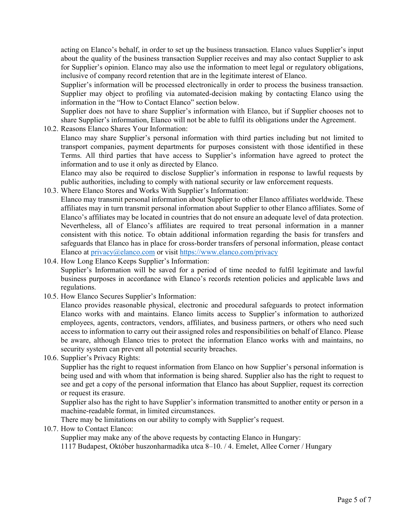acting on Elanco's behalf, in order to set up the business transaction. Elanco values Supplier's input about the quality of the business transaction Supplier receives and may also contact Supplier to ask for Supplier's opinion. Elanco may also use the information to meet legal or regulatory obligations, inclusive of company record retention that are in the legitimate interest of Elanco.

Supplier's information will be processed electronically in order to process the business transaction. Supplier may object to profiling via automated-decision making by contacting Elanco using the information in the "How to Contact Elanco" section below.

Supplier does not have to share Supplier's information with Elanco, but if Supplier chooses not to share Supplier's information, Elanco will not be able to fulfil its obligations under the Agreement.

10.2. Reasons Elanco Shares Your Information:

Elanco may share Supplier's personal information with third parties including but not limited to transport companies, payment departments for purposes consistent with those identified in these Terms. All third parties that have access to Supplier's information have agreed to protect the information and to use it only as directed by Elanco.

Elanco may also be required to disclose Supplier's information in response to lawful requests by public authorities, including to comply with national security or law enforcement requests.

10.3. Where Elanco Stores and Works With Supplier's Information:

Elanco may transmit personal information about Supplier to other Elanco affiliates worldwide. These affiliates may in turn transmit personal information about Supplier to other Elanco affiliates. Some of Elanco's affiliates may be located in countries that do not ensure an adequate level of data protection. Nevertheless, all of Elanco's affiliates are required to treat personal information in a manner consistent with this notice. To obtain additional information regarding the basis for transfers and safeguards that Elanco has in place for cross-border transfers of personal information, please contact Elanco at privacy@elanco.com or visit https://www.elanco.com/privacy

- 10.4. How Long Elanco Keeps Supplier's Information: Supplier's Information will be saved for a period of time needed to fulfil legitimate and lawful business purposes in accordance with Elanco's records retention policies and applicable laws and regulations.
- 10.5. How Elanco Secures Supplier's Information:

Elanco provides reasonable physical, electronic and procedural safeguards to protect information Elanco works with and maintains. Elanco limits access to Supplier's information to authorized employees, agents, contractors, vendors, affiliates, and business partners, or others who need such access to information to carry out their assigned roles and responsibilities on behalf of Elanco. Please be aware, although Elanco tries to protect the information Elanco works with and maintains, no security system can prevent all potential security breaches.

10.6. Supplier's Privacy Rights:

Supplier has the right to request information from Elanco on how Supplier's personal information is being used and with whom that information is being shared. Supplier also has the right to request to see and get a copy of the personal information that Elanco has about Supplier, request its correction or request its erasure.

Supplier also has the right to have Supplier's information transmitted to another entity or person in a machine-readable format, in limited circumstances.

There may be limitations on our ability to comply with Supplier's request.

10.7. How to Contact Elanco:

Supplier may make any of the above requests by contacting Elanco in Hungary:

1117 Budapest, Október huszonharmadika utca 8–10. / 4. Emelet, Allee Corner / Hungary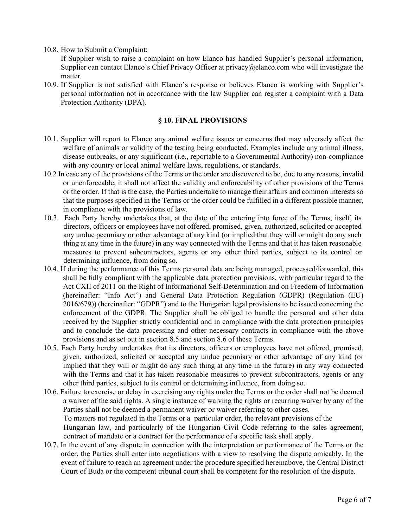10.8. How to Submit a Complaint:

If Supplier wish to raise a complaint on how Elanco has handled Supplier's personal information, Supplier can contact Elanco's Chief Privacy Officer at privacy@elanco.com who will investigate the matter.

10.9. If Supplier is not satisfied with Elanco's response or believes Elanco is working with Supplier's personal information not in accordance with the law Supplier can register a complaint with a Data Protection Authority (DPA).

#### § 10. FINAL PROVISIONS

- 10.1. Supplier will report to Elanco any animal welfare issues or concerns that may adversely affect the welfare of animals or validity of the testing being conducted. Examples include any animal illness, disease outbreaks, or any significant (i.e., reportable to a Governmental Authority) non-compliance with any country or local animal welfare laws, regulations, or standards.
- 10.2 In case any of the provisions of the Terms or the order are discovered to be, due to any reasons, invalid or unenforceable, it shall not affect the validity and enforceability of other provisions of the Terms or the order. If that is the case, the Parties undertake to manage their affairs and common interests so that the purposes specified in the Terms or the order could be fulfilled in a different possible manner, in compliance with the provisions of law.
- 10.3. Each Party hereby undertakes that, at the date of the entering into force of the Terms, itself, its directors, officers or employees have not offered, promised, given, authorized, solicited or accepted any undue pecuniary or other advantage of any kind (or implied that they will or might do any such thing at any time in the future) in any way connected with the Terms and that it has taken reasonable measures to prevent subcontractors, agents or any other third parties, subject to its control or determining influence, from doing so.
- 10.4. If during the performance of this Terms personal data are being managed, processed/forwarded, this shall be fully compliant with the applicable data protection provisions, with particular regard to the Act CXII of 2011 on the Right of Informational Self-Determination and on Freedom of Information (hereinafter: "Info Act") and General Data Protection Regulation (GDPR) (Regulation (EU) 2016/679)) (hereinafter: "GDPR") and to the Hungarian legal provisions to be issued concerning the enforcement of the GDPR. The Supplier shall be obliged to handle the personal and other data received by the Supplier strictly confidential and in compliance with the data protection principles and to conclude the data processing and other necessary contracts in compliance with the above provisions and as set out in section 8.5 and section 8.6 of these Terms.
- 10.5. Each Party hereby undertakes that its directors, officers or employees have not offered, promised, given, authorized, solicited or accepted any undue pecuniary or other advantage of any kind (or implied that they will or might do any such thing at any time in the future) in any way connected with the Terms and that it has taken reasonable measures to prevent subcontractors, agents or any other third parties, subject to its control or determining influence, from doing so.
- 10.6. Failure to exercise or delay in exercising any rights under the Terms or the order shall not be deemed a waiver of the said rights. A single instance of waiving the rights or recurring waiver by any of the Parties shall not be deemed a permanent waiver or waiver referring to other cases. To matters not regulated in the Terms or a particular order, the relevant provisions of the Hungarian law, and particularly of the Hungarian Civil Code referring to the sales agreement, contract of mandate or a contract for the performance of a specific task shall apply.
- 10.7. In the event of any dispute in connection with the interpretation or performance of the Terms or the order, the Parties shall enter into negotiations with a view to resolving the dispute amicably. In the event of failure to reach an agreement under the procedure specified hereinabove, the Central District Court of Buda or the competent tribunal court shall be competent for the resolution of the dispute.